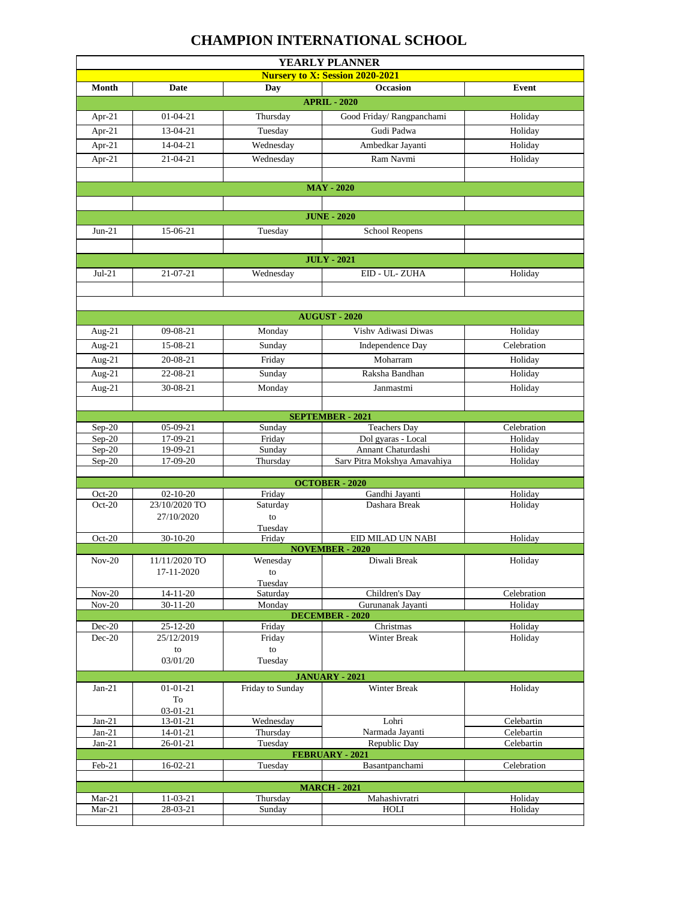## **CHAMPION INTERNATIONAL SCHOOL**

| YEARLY PLANNER                         |                      |                       |                                        |                          |
|----------------------------------------|----------------------|-----------------------|----------------------------------------|--------------------------|
| <b>Nursery to X: Session 2020-2021</b> |                      |                       |                                        |                          |
| <b>Month</b>                           | <b>Date</b>          | Day                   | <b>Occasion</b>                        | Event                    |
| <b>APRIL - 2020</b>                    |                      |                       |                                        |                          |
| Apr-21                                 | $01-04-21$           | Thursday              | Good Friday/ Rangpanchami              | Holiday                  |
| Apr-21                                 | 13-04-21             | Tuesday               | Gudi Padwa                             | Holiday                  |
| Apr-21                                 | 14-04-21             | Wednesday             | Ambedkar Jayanti                       | Holiday                  |
| Apr-21                                 | $21 - 04 - 21$       | Wednesday             | Ram Navmi                              | Holiday                  |
|                                        |                      |                       |                                        |                          |
| <b>MAY - 2020</b>                      |                      |                       |                                        |                          |
|                                        |                      |                       |                                        |                          |
| <b>JUNE - 2020</b>                     |                      |                       |                                        |                          |
|                                        |                      |                       |                                        |                          |
| $Jun-21$                               | 15-06-21             | Tuesday               | School Reopens                         |                          |
|                                        |                      |                       |                                        |                          |
|                                        |                      |                       | <b>JULY - 2021</b>                     |                          |
| $Jul-21$                               | $21 - 07 - 21$       | Wednesday             | EID - UL-ZUHA                          | Holiday                  |
|                                        |                      |                       |                                        |                          |
|                                        |                      |                       |                                        |                          |
| <b>AUGUST - 2020</b>                   |                      |                       |                                        |                          |
| Aug-21                                 | $09 - 08 - 21$       | Monday                | Vishv Adiwasi Diwas                    | Holiday                  |
| Aug-21                                 | 15-08-21             | Sunday                | Independence Day                       | Celebration              |
| Aug- $21$                              | 20-08-21             | Friday                | Moharram                               | Holiday                  |
| Aug-21                                 | 22-08-21             | Sunday                | Raksha Bandhan                         | Holiday                  |
| Aug-21                                 | 30-08-21             | Monday                | Janmastmi                              | Holiday                  |
|                                        |                      |                       |                                        |                          |
| <b>SEPTEMBER - 2021</b>                |                      |                       |                                        |                          |
| Sep-20                                 | $05-09-21$           | Sunday                | <b>Teachers Day</b>                    | Celebration              |
| $Sep-20$                               | 17-09-21             | Friday                | Dol gyaras - Local                     | Holiday                  |
| $Sep-20$                               | 19-09-21             | Sunday                | Annant Chaturdashi                     | Holiday                  |
| Sep-20                                 | 17-09-20             | Thursday              | Sarv Pitra Mokshya Amavahiya           | Holiday                  |
| <b>OCTOBER - 2020</b>                  |                      |                       |                                        |                          |
| $Oct-20$                               | $02 - 10 - 20$       | Friday                | Gandhi Jayanti                         | Holiday                  |
| $Oct-20$                               | 23/10/2020 TO        | Saturday              | Dashara Break                          | Holiday                  |
|                                        | 27/10/2020           | to                    |                                        |                          |
|                                        |                      | Tuesday               |                                        |                          |
| Oct-20                                 | $30-10-20$           | Friday                | EID MILAD UN NABI                      | Holiday                  |
| $Nov-20$                               | 11/11/2020 TO        | Wenesday              | <b>NOVEMBER - 2020</b><br>Diwali Break | Holiday                  |
|                                        | 17-11-2020           | to                    |                                        |                          |
|                                        |                      | Tuesday               |                                        |                          |
| $Nov-20$                               | $14 - 11 - 20$       | Saturday              | Children's Day                         | Celebration              |
| $Nov-20$                               | $30 - 11 - 20$       | Monday                | Gurunanak Jayanti                      | Holiday                  |
| Dec-20                                 | $25 - 12 - 20$       | Friday                | <b>DECEMBER - 2020</b><br>Christmas    | Holiday                  |
| Dec-20                                 | 25/12/2019           | Friday                | Winter Break                           | Holiday                  |
|                                        | ${\rm to}$           | to                    |                                        |                          |
|                                        | 03/01/20             | Tuesday               |                                        |                          |
| <b>JANUARY - 2021</b>                  |                      |                       |                                        |                          |
| $Jan-21$                               | $01 - 01 - 21$       | Friday to Sunday      | Winter Break                           | Holiday                  |
|                                        | To                   |                       |                                        |                          |
|                                        | $03-01-21$           |                       | Lohri                                  |                          |
| $Jan-21$<br>$Jan-21$                   | 13-01-21<br>14-01-21 | Wednesday<br>Thursday | Narmada Jayanti                        | Celebartin<br>Celebartin |
| $Jan-21$                               | 26-01-21             | Tuesday               | Republic Day                           | Celebartin               |
|                                        |                      |                       | FEBRUARY - 2021                        |                          |
| Feb-21                                 | $16-02-21$           | Tuesday               | Basantpanchami                         | Celebration              |
| <b>MARCH - 2021</b>                    |                      |                       |                                        |                          |
| $Mar-21$                               | 11-03-21             | Thursday              | Mahashivratri                          | Holiday                  |
| Mar-21                                 | 28-03-21             | Sunday                | HOLI                                   | Holiday                  |
|                                        |                      |                       |                                        |                          |